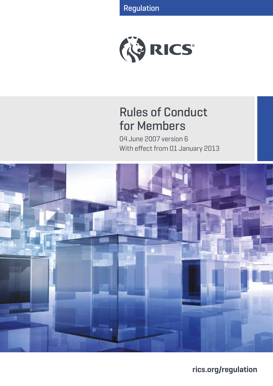Regulation



# Rules of Conduct for Members

04 June 2007 version 6 With effect from 01 January 2013



**rics.org/regulation**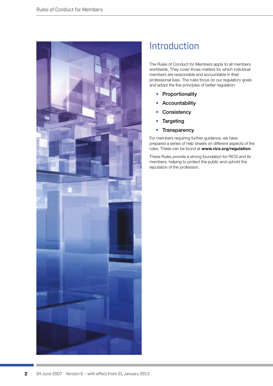

# Introduction

The Rules of Conduct for Members apply to all members worldwide. They cover those matters for which individual members are responsible and accountable in their professional lives. The rules focus on our regulatory goals and adopt the five principles of better regulation:

- Proportionality
- Accountability
- Consistency
- Targeting
- Transparency

For members requiring further guidance, we have prepared a series of help sheets on different aspects of the rules. These can be found at **www.rics.org/regulation**.

These Rules provide a strong foundation for RICS and its members, helping to protect the public and uphold the reputation of the profession.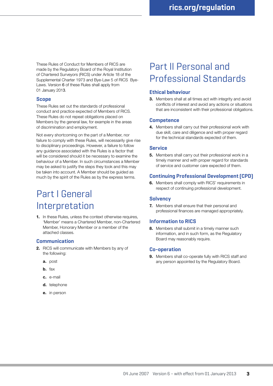These Rules of Conduct for Members of RICS are made by the Regulatory Board of the Royal Institution of Chartered Surveyors (RICS) under Article 18 of the Supplemental Charter 1973 and Bye-Law 5 of RICS Bye-Laws. Version 6 of these Rules shall apply from 01 January 2013.

### **Scope**

These Rules set out the standards of professional conduct and practice expected of Members of RICS. These Rules do not repeat obligations placed on Members by the general law, for example in the areas of discrimination and employment.

Not every shortcoming on the part of a Member, nor failure to comply with these Rules, will necessarily give rise to disciplinary proceedings. However, a failure to follow any guidance associated with the Rules is a factor that will be considered should it be necessary to examine the behaviour of a Member. In such circumstances a Member may be asked to justify the steps they took and this may be taken into account. A Member should be guided as much by the spirit of the Rules as by the express terms.

# Part I General Interpretation

**1.** In these Rules, unless the context otherwise requires, 'Member' means a Chartered Member, non-Chartered Member, Honorary Member or a member of the attached classes.

### **Communication**

- **2.** RICS will communicate with Members by any of the following:
	- **a.** post
	- **b.** fax
	- **c.** e-mail
	- **d.** telephone
	- **e.** in person

# Part II Personal and Professional Standards

# **Ethical behaviour**

**3.** Members shall at all times act with integrity and avoid conflicts of interest and avoid any actions or situations that are inconsistent with their professional obligations.

### **Competence**

**4.** Members shall carry out their professional work with due skill, care and diligence and with proper regard for the technical standards expected of them.

# **Service**

**5.** Members shall carry out their professional work in a timely manner and with proper regard for standards of service and customer care expected of them.

# **Continuing Professional Development (CPD)**

**6.** Members shall comply with RICS' requirements in respect of continuing professional development.

# **Solvency**

**7.** Members shall ensure that their personal and professional finances are managed appropriately.

# **Information to RICS**

**8.** Members shall submit in a timely manner such information, and in such form, as the Regulatory Board may reasonably require.

# **Co-operation**

**9.** Members shall co-operate fully with RICS staff and any person appointed by the Regulatory Board.